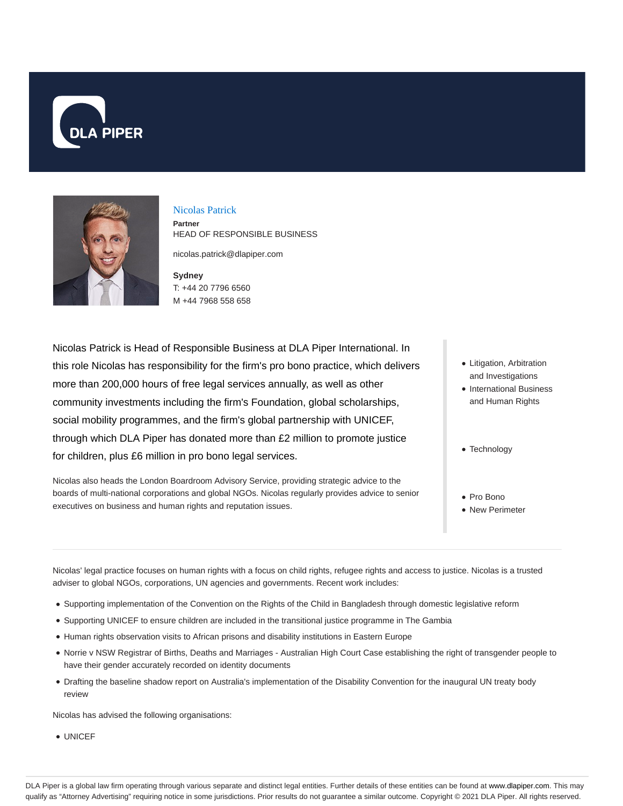



### Nicolas Patrick

**Partner** HEAD OF RESPONSIBLE BUSINESS

nicolas.patrick@dlapiper.com

**Sydney** T: +44 20 7796 6560 M +44 7968 558 658

Nicolas Patrick is Head of Responsible Business at DLA Piper International. In this role Nicolas has responsibility for the firm's pro bono practice, which delivers more than 200,000 hours of free legal services annually, as well as other community investments including the firm's Foundation, global scholarships, social mobility programmes, and the firm's global partnership with UNICEF, through which DLA Piper has donated more than £2 million to promote justice for children, plus £6 million in pro bono legal services.

Nicolas also heads the London Boardroom Advisory Service, providing strategic advice to the boards of multi-national corporations and global NGOs. Nicolas regularly provides advice to senior executives on business and human rights and reputation issues.

- Litigation, Arbitration and Investigations
- International Business and Human Rights
- Technology
- Pro Bono
- New Perimeter

Nicolas' legal practice focuses on human rights with a focus on child rights, refugee rights and access to justice. Nicolas is a trusted adviser to global NGOs, corporations, UN agencies and governments. Recent work includes:

- Supporting implementation of the Convention on the Rights of the Child in Bangladesh through domestic legislative reform
- Supporting UNICEF to ensure children are included in the transitional justice programme in The Gambia
- Human rights observation visits to African prisons and disability institutions in Eastern Europe
- Norrie v NSW Registrar of Births, Deaths and Marriages Australian High Court Case establishing the right of transgender people to have their gender accurately recorded on identity documents
- Drafting the baseline shadow report on Australia's implementation of the Disability Convention for the inaugural UN treaty body review

Nicolas has advised the following organisations:

UNICEF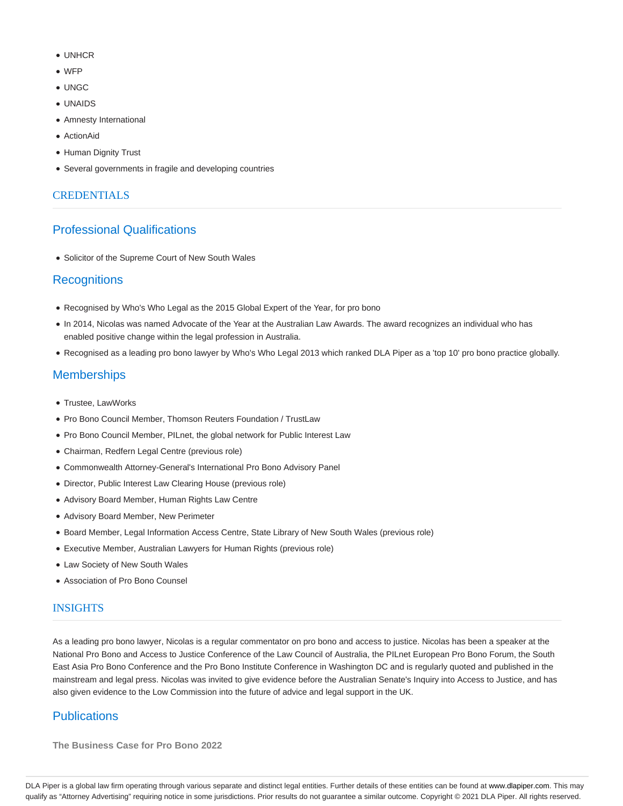- $\bullet$  LINHCR
- WFP
- UNGC
- UNAIDS
- Amnesty International
- ActionAid
- Human Dignity Trust
- Several governments in fragile and developing countries

## **CREDENTIALS**

# Professional Qualifications

Solicitor of the Supreme Court of New South Wales

## **Recognitions**

- Recognised by Who's Who Legal as the 2015 Global Expert of the Year, for pro bono
- In 2014, Nicolas was named Advocate of the Year at the Australian Law Awards. The award recognizes an individual who has enabled positive change within the legal profession in Australia.
- Recognised as a leading pro bono lawyer by Who's Who Legal 2013 which ranked DLA Piper as a 'top 10' pro bono practice globally.

# **Memberships**

- Trustee, LawWorks
- Pro Bono Council Member, Thomson Reuters Foundation / TrustLaw
- Pro Bono Council Member, PILnet, the global network for Public Interest Law
- Chairman, Redfern Legal Centre (previous role)
- Commonwealth Attorney-General's International Pro Bono Advisory Panel
- Director, Public Interest Law Clearing House (previous role)
- Advisory Board Member, Human Rights Law Centre
- Advisory Board Member, New Perimeter
- Board Member, Legal Information Access Centre, State Library of New South Wales (previous role)
- Executive Member, Australian Lawyers for Human Rights (previous role)
- Law Society of New South Wales
- Association of Pro Bono Counsel

## **INSIGHTS**

As a leading pro bono lawyer, Nicolas is a regular commentator on pro bono and access to justice. Nicolas has been a speaker at the National Pro Bono and Access to Justice Conference of the Law Council of Australia, the PILnet European Pro Bono Forum, the South East Asia Pro Bono Conference and the Pro Bono Institute Conference in Washington DC and is regularly quoted and published in the mainstream and legal press. Nicolas was invited to give evidence before the Australian Senate's Inquiry into Access to Justice, and has also given evidence to the Low Commission into the future of advice and legal support in the UK.

# **Publications**

**The Business Case for Pro Bono 2022**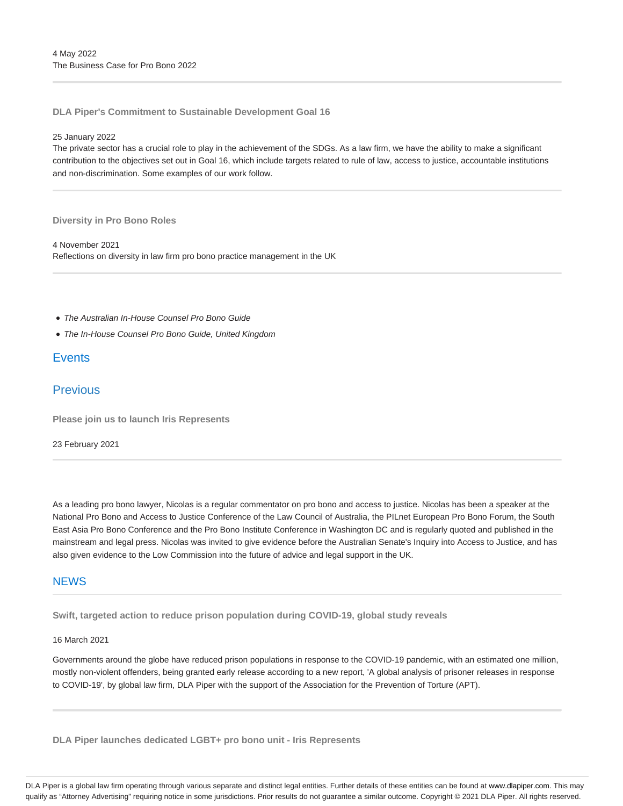**DLA Piper's Commitment to Sustainable Development Goal 16**

#### 25 January 2022

The private sector has a crucial role to play in the achievement of the SDGs. As a law firm, we have the ability to make a significant contribution to the objectives set out in Goal 16, which include targets related to rule of law, access to justice, accountable institutions and non-discrimination. Some examples of our work follow.

#### **Diversity in Pro Bono Roles**

4 November 2021 Reflections on diversity in law firm pro bono practice management in the UK

- The Australian In-House Counsel Pro Bono Guide
- The In-House Counsel Pro Bono Guide, United Kingdom

### **Events**

## **Previous**

**Please join us to launch Iris Represents**

#### 23 February 2021

As a leading pro bono lawyer, Nicolas is a regular commentator on pro bono and access to justice. Nicolas has been a speaker at the National Pro Bono and Access to Justice Conference of the Law Council of Australia, the PILnet European Pro Bono Forum, the South East Asia Pro Bono Conference and the Pro Bono Institute Conference in Washington DC and is regularly quoted and published in the mainstream and legal press. Nicolas was invited to give evidence before the Australian Senate's Inquiry into Access to Justice, and has also given evidence to the Low Commission into the future of advice and legal support in the UK.

### **NFWS**

**Swift, targeted action to reduce prison population during COVID-19, global study reveals**

### 16 March 2021

Governments around the globe have reduced prison populations in response to the COVID-19 pandemic, with an estimated one million, mostly non-violent offenders, being granted early release according to a new report, 'A global analysis of prisoner releases in response to COVID-19', by global law firm, DLA Piper with the support of the Association for the Prevention of Torture (APT).

**DLA Piper launches dedicated LGBT+ pro bono unit - Iris Represents**

DLA Piper is a global law firm operating through various separate and distinct legal entities. Further details of these entities can be found at www.dlapiper.com. This may qualify as "Attorney Advertising" requiring notice in some jurisdictions. Prior results do not guarantee a similar outcome. Copyright © 2021 DLA Piper. All rights reserved.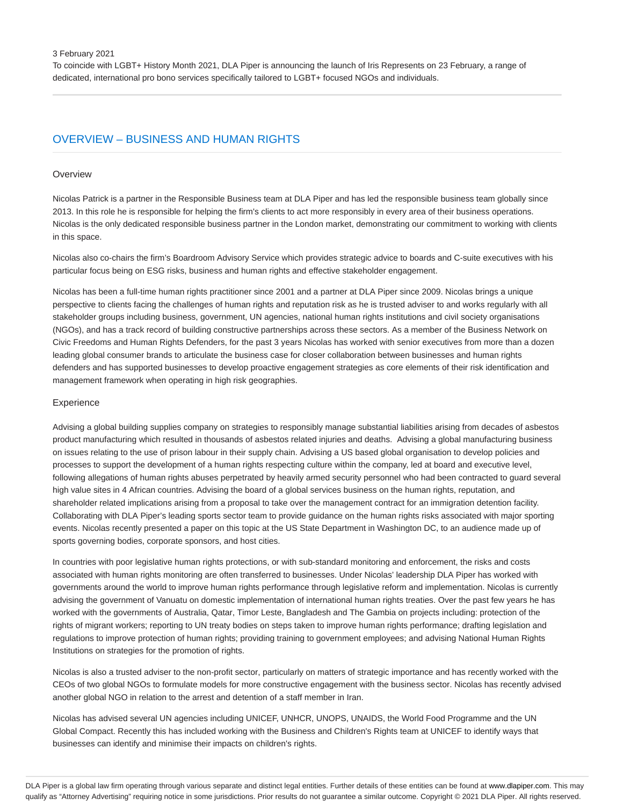3 February 2021

To coincide with LGBT+ History Month 2021, DLA Piper is announcing the launch of Iris Represents on 23 February, a range of dedicated, international pro bono services specifically tailored to LGBT+ focused NGOs and individuals.

## OVERVIEW – BUSINESS AND HUMAN RIGHTS

#### **Overview**

Nicolas Patrick is a partner in the Responsible Business team at DLA Piper and has led the responsible business team globally since 2013. In this role he is responsible for helping the firm's clients to act more responsibly in every area of their business operations. Nicolas is the only dedicated responsible business partner in the London market, demonstrating our commitment to working with clients in this space.

Nicolas also co-chairs the firm's Boardroom Advisory Service which provides strategic advice to boards and C-suite executives with his particular focus being on ESG risks, business and human rights and effective stakeholder engagement.

Nicolas has been a full-time human rights practitioner since 2001 and a partner at DLA Piper since 2009. Nicolas brings a unique perspective to clients facing the challenges of human rights and reputation risk as he is trusted adviser to and works regularly with all stakeholder groups including business, government, UN agencies, national human rights institutions and civil society organisations (NGOs), and has a track record of building constructive partnerships across these sectors. As a member of the Business Network on Civic Freedoms and Human Rights Defenders, for the past 3 years Nicolas has worked with senior executives from more than a dozen leading global consumer brands to articulate the business case for closer collaboration between businesses and human rights defenders and has supported businesses to develop proactive engagement strategies as core elements of their risk identification and management framework when operating in high risk geographies.

### Experience

Advising a global building supplies company on strategies to responsibly manage substantial liabilities arising from decades of asbestos product manufacturing which resulted in thousands of asbestos related injuries and deaths. Advising a global manufacturing business on issues relating to the use of prison labour in their supply chain. Advising a US based global organisation to develop policies and processes to support the development of a human rights respecting culture within the company, led at board and executive level, following allegations of human rights abuses perpetrated by heavily armed security personnel who had been contracted to guard several high value sites in 4 African countries. Advising the board of a global services business on the human rights, reputation, and shareholder related implications arising from a proposal to take over the management contract for an immigration detention facility. Collaborating with DLA Piper's leading sports sector team to provide guidance on the human rights risks associated with major sporting events. Nicolas recently presented a paper on this topic at the US State Department in Washington DC, to an audience made up of sports governing bodies, corporate sponsors, and host cities.

In countries with poor legislative human rights protections, or with sub-standard monitoring and enforcement, the risks and costs associated with human rights monitoring are often transferred to businesses. Under Nicolas' leadership DLA Piper has worked with governments around the world to improve human rights performance through legislative reform and implementation. Nicolas is currently advising the government of Vanuatu on domestic implementation of international human rights treaties. Over the past few years he has worked with the governments of Australia, Qatar, Timor Leste, Bangladesh and The Gambia on projects including: protection of the rights of migrant workers; reporting to UN treaty bodies on steps taken to improve human rights performance; drafting legislation and regulations to improve protection of human rights; providing training to government employees; and advising National Human Rights Institutions on strategies for the promotion of rights.

Nicolas is also a trusted adviser to the non-profit sector, particularly on matters of strategic importance and has recently worked with the CEOs of two global NGOs to formulate models for more constructive engagement with the business sector. Nicolas has recently advised another global NGO in relation to the arrest and detention of a staff member in Iran.

Nicolas has advised several UN agencies including UNICEF, UNHCR, UNOPS, UNAIDS, the World Food Programme and the UN Global Compact. Recently this has included working with the Business and Children's Rights team at UNICEF to identify ways that businesses can identify and minimise their impacts on children's rights.

DLA Piper is a global law firm operating through various separate and distinct legal entities. Further details of these entities can be found at www.dlapiper.com. This may qualify as "Attorney Advertising" requiring notice in some jurisdictions. Prior results do not guarantee a similar outcome. Copyright @ 2021 DLA Piper. All rights reserved.